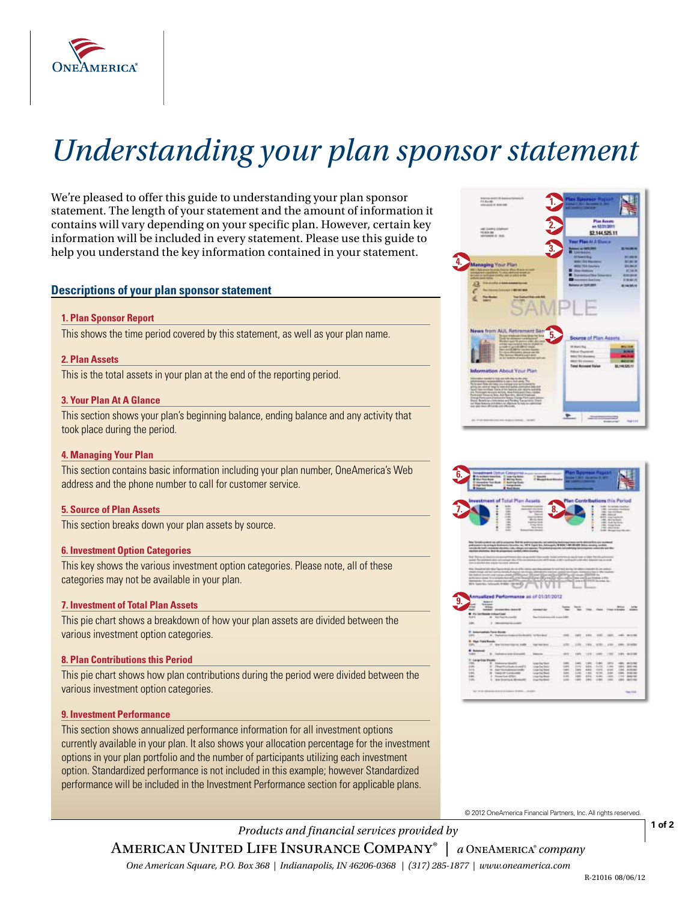

# *Understanding your plan sponsor statement*

We're pleased to offer this guide to understanding your plan sponsor statement. The length of your statement and the amount of information it contains will vary depending on your specific plan. However, certain key information will be included in every statement. Please use this guide to help you understand the key information contained in your statement.

# **Descriptions of your plan sponsor statement**

#### **1. Plan Sponsor Report**

This shows the time period covered by this statement, as well as your plan name. **This shows have been with the statement**  $\overline{5}$ ,

# **2. Plan Assets**

This is the total assets in your plan at the end of the reporting period.

#### **3. Your Plan At A Glance**

This section shows your plan's beginning balance, ending balance and any activity that took place during the period.

# **4. Managing Your Plan**

 This section contains basic information including your plan number, OneAmerica's Web address and the phone number to call for customer service.

# **5. Source of Plan Assets**

This section breaks down your plan assets by source.

#### **6. Investment Option Categories**

 This key shows the various investment option categories. Please note, all of these categories may not be available in your plan.

# **7. Investment of Total Plan Assets 9.**

 This pie chart shows a breakdown of how your plan assets are divided between the various investment option categories.

# **8. Plan Contributions this Period**

 This pie chart shows how plan contributions during the period were divided between the various investment option categories.

# **9. Investment Performance**

 This section shows annualized performance information for all investment options options in your plan portfolio and the number of participants utilizing each investment option. Standardized performance is not included in this example; however Standardized performance will be included in the Investment Performance section for applicable plans.currently available in your plan. It also shows your allocation percentage for the investment

© 2012 OneAmerica Financial Partners, Inc. All rights reser

*Products and financial services provided by*  American United Life Insurance Company® | *a* OneAmerica® *company* 

*One American Square, P.O. Box 368 | Indianapolis, IN 46206-0368 | (317) 285-1877 | www.oneamerica.com* 

**1 of 2** 



**1.** 

Plan Au

|                                              |                                                                                                                 |                                                            |                                                                     |                                                                                                                                                                                                                                                                   |                       |                          |                    |                                                                           | <b>Plan Contributions this Period</b>        |                                 |
|----------------------------------------------|-----------------------------------------------------------------------------------------------------------------|------------------------------------------------------------|---------------------------------------------------------------------|-------------------------------------------------------------------------------------------------------------------------------------------------------------------------------------------------------------------------------------------------------------------|-----------------------|--------------------------|--------------------|---------------------------------------------------------------------------|----------------------------------------------|---------------------------------|
|                                              |                                                                                                                 | <b>HURL</b>                                                | <b>Investment of Total Plan Assets</b><br><b>BUILDING TO BELLE</b>  |                                                                                                                                                                                                                                                                   |                       |                          |                    |                                                                           |                                              |                                 |
|                                              | ٠<br>٠                                                                                                          | $-0.001$<br><b>Lake</b>                                    | <b>Manager day to an</b><br><b>Rental Motors</b>                    | 8.                                                                                                                                                                                                                                                                |                       |                          |                    | Salts: No remove closed and<br>1984 Holymann Stationer                    |                                              |                                 |
|                                              | ٠<br>٠                                                                                                          | 444<br>$-14.44$                                            | <b>Mary Ave</b><br><b>Installation</b>                              |                                                                                                                                                                                                                                                                   |                       |                          |                    | 1951 Torontown<br><b>HALLMARK</b>                                         |                                              |                                 |
|                                              | ٠<br>a                                                                                                          | $-$<br>$-44.4$                                             | the star bond<br><b>HARSHARE</b>                                    |                                                                                                                                                                                                                                                                   |                       |                          |                    | <b>STE GATASIA</b><br><b>Jan. Milledgeway</b><br><b>CALC AND CONTRACT</b> |                                              |                                 |
|                                              | з                                                                                                               | -                                                          | Tong Hotel                                                          |                                                                                                                                                                                                                                                                   |                       |                          |                    | 1951 Hotel State                                                          |                                              |                                 |
|                                              | ٠<br>z                                                                                                          | $-40$<br>$\overline{1}$                                    | desirios<br>and in fact of the county                               |                                                                                                                                                                                                                                                                   |                       | ٠                        |                    | two particular<br>School Charles Council St.                              |                                              |                                 |
|                                              |                                                                                                                 |                                                            |                                                                     |                                                                                                                                                                                                                                                                   |                       |                          |                    |                                                                           |                                              |                                 |
|                                              |                                                                                                                 |                                                            |                                                                     | New Schultingwide to you with its programs. Both this problem process you controlling between process and by decreasing on one operations                                                                                                                         |                       |                          |                    |                                                                           |                                              |                                 |
|                                              |                                                                                                                 |                                                            |                                                                     | preference in the acting to feedback at interesting fact, 197 W Expert And, Subsequely, 10 WHO 1-80 World Microsoft Andrew approved a problem                                                                                                                     |                       |                          |                    |                                                                           |                                              |                                 |
|                                              |                                                                                                                 |                                                            | experient advertising that the presentation conduct claims streamly | Localdo Marinal - Including Handsboro, Lake, Midsays, Advisory Richardsboro, Andrew McAdamatago Committee and Colorador and Marin                                                                                                                                 |                       |                          |                    |                                                                           |                                              |                                 |
|                                              |                                                                                                                 |                                                            |                                                                     |                                                                                                                                                                                                                                                                   |                       |                          |                    |                                                                           |                                              |                                 |
|                                              |                                                                                                                 |                                                            |                                                                     | This Rights at items a company through the company of the company of the conditions and company of the form of the company of the primeral<br>and hoping in the company of the company of the company of the company of the company of the company of the company |                       |                          |                    |                                                                           |                                              |                                 |
|                                              | tions as dear feel does complete trace over contractors.                                                        |                                                            |                                                                     |                                                                                                                                                                                                                                                                   |                       |                          |                    |                                                                           |                                              |                                 |
|                                              |                                                                                                                 |                                                            |                                                                     |                                                                                                                                                                                                                                                                   |                       |                          |                    |                                                                           |                                              |                                 |
|                                              |                                                                                                                 | they investment and there were detailed at the interesting |                                                                     | and for each third, decrease information and and a discussion                                                                                                                                                                                                     |                       |                          |                    |                                                                           |                                              |                                 |
|                                              |                                                                                                                 |                                                            |                                                                     |                                                                                                                                                                                                                                                                   |                       |                          |                    |                                                                           |                                              |                                 |
|                                              | ment young ald the same interfact angles with length presidents manual controls communicate that is the market. |                                                            |                                                                     |                                                                                                                                                                                                                                                                   |                       |                          |                    |                                                                           |                                              |                                 |
|                                              |                                                                                                                 |                                                            |                                                                     | the subset over to see a processing CEO given (25 and 25 per only) and 2019 by which as a 2007/08 to                                                                                                                                                              |                       |                          |                    |                                                                           |                                              |                                 |
|                                              |                                                                                                                 |                                                            |                                                                     | activized land to considerate and critic language of principal company and activize participates in the                                                                                                                                                           |                       |                          |                    |                                                                           |                                              |                                 |
|                                              |                                                                                                                 |                                                            |                                                                     | Members to anter president and the president in the second control of the company of the second control of the second con-                                                                                                                                        |                       |                          |                    |                                                                           |                                              |                                 |
|                                              | <b>Bit lawse, should frill (\$1.00)</b> (***                                                                    |                                                            |                                                                     |                                                                                                                                                                                                                                                                   |                       |                          |                    |                                                                           |                                              |                                 |
|                                              |                                                                                                                 |                                                            |                                                                     |                                                                                                                                                                                                                                                                   |                       | <b>Scored Co</b>         |                    |                                                                           |                                              |                                 |
|                                              |                                                                                                                 |                                                            |                                                                     |                                                                                                                                                                                                                                                                   |                       |                          |                    |                                                                           |                                              |                                 |
|                                              |                                                                                                                 |                                                            | Annualized Performance as of 01/31/2012                             |                                                                                                                                                                                                                                                                   |                       |                          |                    |                                                                           |                                              |                                 |
|                                              | <b>Select</b>                                                                                                   |                                                            |                                                                     |                                                                                                                                                                                                                                                                   |                       |                          |                    |                                                                           |                                              |                                 |
|                                              | <b>Service</b>                                                                                                  |                                                            |                                                                     |                                                                                                                                                                                                                                                                   |                       |                          |                    |                                                                           |                                              |                                 |
| $\sim$<br>$-$                                | <b>Winner</b>                                                                                                   | looked department board                                    | ----                                                                |                                                                                                                                                                                                                                                                   | <b>General</b><br>$-$ | the the that they range. | An Schwarzen       |                                                                           |                                              |                                 |
|                                              |                                                                                                                 |                                                            |                                                                     |                                                                                                                                                                                                                                                                   |                       |                          |                    |                                                                           |                                              |                                 |
| <b>MAG</b>                                   | # Following interfact                                                                                           | M RATHAULAND                                               |                                                                     | Specification in the company of their                                                                                                                                                                                                                             |                       |                          |                    |                                                                           |                                              |                                 |
|                                              |                                                                                                                 |                                                            |                                                                     |                                                                                                                                                                                                                                                                   |                       |                          |                    |                                                                           |                                              |                                 |
| 1400                                         |                                                                                                                 | 2 Westman's code                                           |                                                                     |                                                                                                                                                                                                                                                                   |                       |                          |                    |                                                                           |                                              |                                 |
|                                              |                                                                                                                 |                                                            |                                                                     |                                                                                                                                                                                                                                                                   |                       |                          |                    |                                                                           |                                              |                                 |
|                                              | <b>T. Internation Face Scott</b>                                                                                |                                                            |                                                                     |                                                                                                                                                                                                                                                                   |                       |                          |                    |                                                                           |                                              |                                 |
| pas.                                         | <b>B. Roberton</b>                                                                                              |                                                            | Alderdenstein verbandend.                                           |                                                                                                                                                                                                                                                                   | 100 197 198 100       |                          |                    | $-1000$                                                                   | 1951 01219                                   |                                 |
|                                              | <b>B. Map Vant Roods</b>                                                                                        |                                                            |                                                                     |                                                                                                                                                                                                                                                                   |                       |                          |                    |                                                                           |                                              |                                 |
| <b>TABLE</b>                                 |                                                                                                                 | 17 New York department on Todde                            | tage hand three                                                     |                                                                                                                                                                                                                                                                   | <b>HRC., 1991</b>     | <b>VWW.</b>              | wm.                | $-198$                                                                    | <b>HAY, STYRK</b>                            |                                 |
|                                              |                                                                                                                 |                                                            |                                                                     |                                                                                                                                                                                                                                                                   |                       |                          |                    |                                                                           |                                              | <b>And Man</b><br><b>SEMINA</b> |
| <b><i><i><u><b>Buluncial</b></u></i></i></b> |                                                                                                                 |                                                            |                                                                     |                                                                                                                                                                                                                                                                   |                       |                          |                    |                                                                           |                                              |                                 |
| <b>SAME</b>                                  |                                                                                                                 | B. Freeholders links financially                           | -                                                                   | $-$                                                                                                                                                                                                                                                               | 14/11                 | THE T                    | <b>CARD</b>        | 198                                                                       | <b><i><u>INFORM</u></i></b>                  |                                 |
|                                              | IT American Blocks                                                                                              |                                                            |                                                                     |                                                                                                                                                                                                                                                                   |                       |                          |                    |                                                                           |                                              |                                 |
| 1566                                         |                                                                                                                 | T Dakomy Gradit                                            |                                                                     | <b>Laters</b><br>corpo Day Sales-                                                                                                                                                                                                                                 | 1400                  | 1.84                     | <b>DOM:</b>        | <b>URS</b>                                                                | 491 911 98                                   |                                 |
| <b>SHAKE</b>                                 |                                                                                                                 | 10" Theat Prize Easth o's call 12"                         |                                                                     | Louis De Deto:<br>casts.                                                                                                                                                                                                                                          | <b>Links</b>          | 444                      | ALC NO             | 1,444                                                                     | 1911 917-198                                 |                                 |
| int.                                         |                                                                                                                 | W. Sear TANGASHAA AKIR!                                    | Linger Day Report                                                   | <b>CARDS</b>                                                                                                                                                                                                                                                      | Larg.                 | 444                      | signs.             | strated.                                                                  | 184, 415, 841                                |                                 |
| in.<br>in.                                   |                                                                                                                 | in their differences.<br>5. Street Lad STREET              | Links Der Steuer                                                    | <b>SALE</b><br>si mi                                                                                                                                                                                                                                              | 1486<br>1445          | 188<br>sms.              | A/M<br><b>SURE</b> | inter.<br>$-1.6791$                                                       | <b>Light Stations</b><br><b>COLL: MARCHE</b> |                                 |
| Listen.                                      |                                                                                                                 | 2. See Drenlin & Sheecht                                   |                                                                     | Linker Day Blood<br><b>GALL</b><br>cings for door.                                                                                                                                                                                                                | $-405$                | 1466                     | 1240               | 1444                                                                      | <b>JAL ALCOHO</b>                            |                                 |